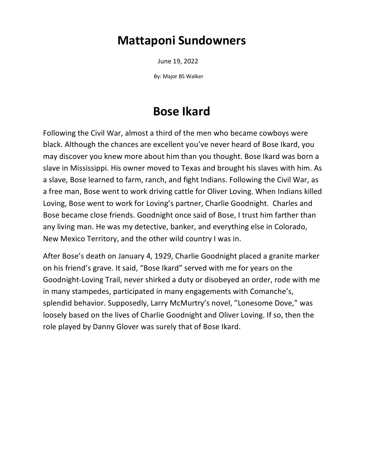### **Mattaponi Sundowners**

June 19, 2022

By: Major BS Walker

# **Bose Ikard**

Following the Civil War, almost a third of the men who became cowboys were black. Although the chances are excellent you've never heard of Bose Ikard, you may discover you knew more about him than you thought. Bose Ikard was born a slave in Mississippi. His owner moved to Texas and brought his slaves with him. As a slave, Bose learned to farm, ranch, and fight Indians. Following the Civil War, as a free man, Bose went to work driving cattle for Oliver Loving. When Indians killed Loving, Bose went to work for Loving's partner, Charlie Goodnight. Charles and Bose became close friends. Goodnight once said of Bose, I trust him farther than any living man. He was my detective, banker, and everything else in Colorado, New Mexico Territory, and the other wild country I was in.

After Bose's death on January 4, 1929, Charlie Goodnight placed a granite marker on his friend's grave. It said, "Bose Ikard" served with me for years on the Goodnight-Loving Trail, never shirked a duty or disobeyed an order, rode with me in many stampedes, participated in many engagements with Comanche's, splendid behavior. Supposedly, Larry McMurtry's novel, "Lonesome Dove," was loosely based on the lives of Charlie Goodnight and Oliver Loving. If so, then the role played by Danny Glover was surely that of Bose Ikard.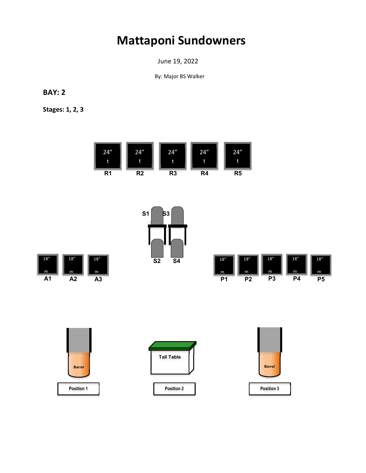## **Mattaponi Sundowners**

June 19, 2022

By: Major BS Walker

**BAY: 2**

**Stages: 1, 2, 3**









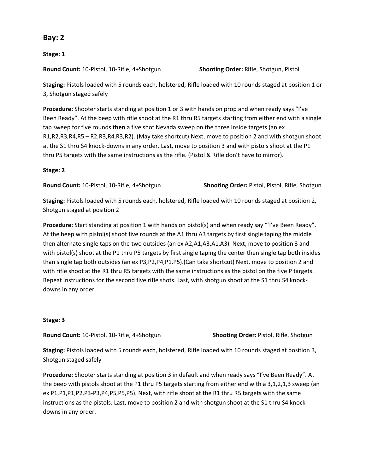### **Bay: 2**

**Stage: 1**

**Round Count:** 10-Pistol, 10-Rifle, 4+Shotgun **Shooting Order:** Rifle, Shotgun, Pistol

**Staging:** Pistols loaded with 5 rounds each, holstered, Rifle loaded with 10 rounds staged at position 1 or 3, Shotgun staged safely

**Procedure:** Shooter starts standing at position 1 or 3 with hands on prop and when ready says "I've Been Ready". At the beep with rifle shoot at the R1 thru R5 targets starting from either end with a single tap sweep for five rounds **then** a five shot Nevada sweep on the three inside targets (an ex R1,R2,R3,R4,R5 – R2,R3,R4,R3,R2). (May take shortcut) Next, move to position 2 and with shotgun shoot at the S1 thru S4 knock-downs in any order. Last, move to position 3 and with pistols shoot at the P1 thru P5 targets with the same instructions as the rifle. (Pistol & Rifle don't have to mirror).

### **Stage: 2**

**Round Count:** 10-Pistol, 10-Rifle, 4+Shotgun **Shooting Order:** Pistol, Pistol, Rifle, Shotgun

**Staging:** Pistols loaded with 5 rounds each, holstered, Rifle loaded with 10 rounds staged at position 2, Shotgun staged at position 2

**Procedure:** Start standing at position 1 with hands on pistol(s) and when ready say "'I've Been Ready". At the beep with pistol(s) shoot five rounds at the A1 thru A3 targets by first single taping the middle then alternate single taps on the two outsides (an ex A2,A1,A3,A1,A3). Next, move to position 3 and with pistol(s) shoot at the P1 thru P5 targets by first single taping the center then single tap both insides than single tap both outsides (an ex P3,P2,P4,P1,P5).(Can take shortcut) Next, move to position 2 and with rifle shoot at the R1 thru R5 targets with the same instructions as the pistol on the five P targets. Repeat instructions for the second five rifle shots. Last, with shotgun shoot at the S1 thru S4 knockdowns in any order.

### **Stage: 3**

**Round Count:** 10-Pistol, 10-Rifle, 4+Shotgun **Shooting Order:** Pistol, Rifle, Shotgun

**Staging:** Pistols loaded with 5 rounds each, holstered, Rifle loaded with 10 rounds staged at position 3, Shotgun staged safely

**Procedure:** Shooter starts standing at position 3 in default and when ready says "I've Been Ready". At the beep with pistols shoot at the P1 thru P5 targets starting from either end with a 3,1,2,1,3 sweep (an ex P1,P1,P1,P2,P3-P3,P4,P5,P5,P5). Next, with rifle shoot at the R1 thru R5 targets with the same instructions as the pistols. Last, move to position 2 and with shotgun shoot at the S1 thru S4 knockdowns in any order.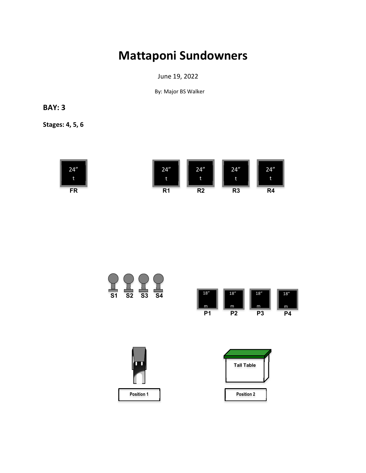## **Mattaponi Sundowners**

June 19, 2022

By: Major BS Walker

### **BAY: 3**

**Stages: 4, 5, 6**









| <b>Tall Table</b> |  |
|-------------------|--|
|                   |  |
|                   |  |
| <b>Position 2</b> |  |
|                   |  |